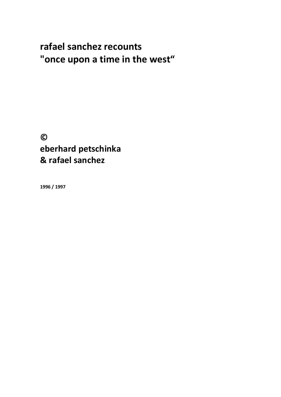# **rafael sanchez recounts "once upon a time in the west"**

**© eberhard petschinka & rafael sanchez**

**1996 / 1997**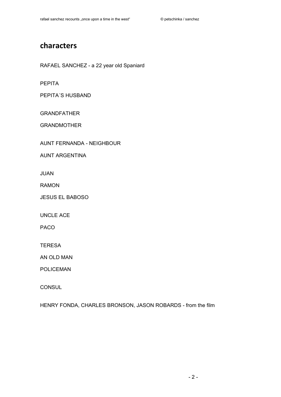# **characters**

RAFAEL SANCHEZ - a 22 year old Spaniard

PEPITA

PEPITA´S HUSBAND

GRANDFATHER

GRANDMOTHER

AUNT FERNANDA - NEIGHBOUR

AUNT ARGENTINA

JUAN

RAMON

JESUS EL BABOSO

UNCLE ACE

PACO

**TERESA** 

AN OLD MAN

POLICEMAN

**CONSUL** 

HENRY FONDA, CHARLES BRONSON, JASON ROBARDS - from the film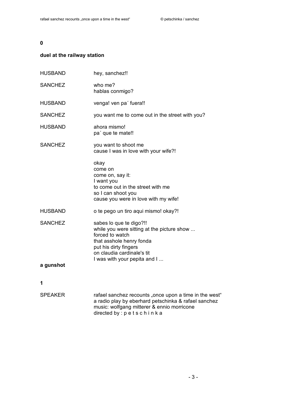# **duel at the railway station**

| <b>HUSBAND</b>              | hey, sanchez!!                                                                                                                                                                                              |
|-----------------------------|-------------------------------------------------------------------------------------------------------------------------------------------------------------------------------------------------------------|
| <b>SANCHEZ</b>              | who me?<br>hablas conmigo?                                                                                                                                                                                  |
| <b>HUSBAND</b>              | venga! ven pa' fuera!!                                                                                                                                                                                      |
| <b>SANCHEZ</b>              | you want me to come out in the street with you?                                                                                                                                                             |
| <b>HUSBAND</b>              | ahora mismo!<br>pa' que te mate!!                                                                                                                                                                           |
| <b>SANCHEZ</b>              | you want to shoot me<br>cause I was in love with your wife?!                                                                                                                                                |
|                             | okay<br>come on<br>come on, say it:<br>I want you<br>to come out in the street with me<br>so I can shoot you<br>cause you were in love with my wife!                                                        |
| <b>HUSBAND</b>              | o te pego un tiro aqui mismo! okay?!                                                                                                                                                                        |
| <b>SANCHEZ</b><br>a gunshot | sabes lo que te digo?!!<br>while you were sitting at the picture show<br>forced to watch<br>that asshole henry fonda<br>put his dirty fingers<br>on claudia cardinale's tit<br>I was with your pepita and I |
|                             |                                                                                                                                                                                                             |
| 1                           |                                                                                                                                                                                                             |

| rafael sanchez recounts "once upon a time in the west" |
|--------------------------------------------------------|
| a radio play by eberhard petschinka & rafael sanchez   |
| music: wolfgang mitterer & ennio morricone             |
| directed by : $p$ e t s c h i n k a                    |
|                                                        |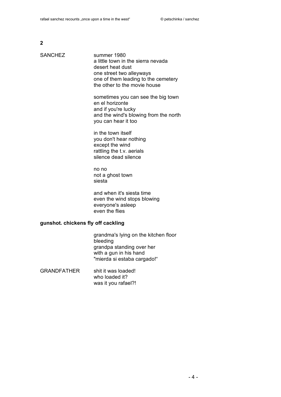| SANCHEZ |  |
|---------|--|
|---------|--|

summer 1980 a little town in the sierra nevada desert heat dust one street two alleyways one of them leading to the cemetery the other to the movie house

sometimes you can see the big town en el horizonte and if you're lucky and the wind's blowing from the north you can hear it too

in the town itself you don't hear nothing except the wind rattling the t.v. aerials silence dead silence

no no not a ghost town siesta

and when it's siesta time even the wind stops blowing everyone's asleep even the flies

#### **gunshot. chickens fly off cackling**

grandma's lying on the kitchen floor bleeding grandpa standing over her with a gun in his hand "mierda si estaba cargado!"

GRANDFATHER shit it was loaded! who loaded it? was it you rafael?!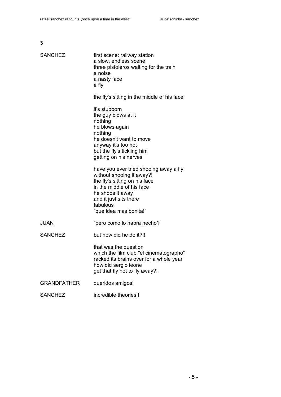|   | I       |
|---|---------|
|   |         |
| × | I<br>۰. |
|   | ۰.      |

| <b>SANCHEZ</b>     | first scene: railway station<br>a slow, endless scene<br>three pistoleros waiting for the train<br>a noise<br>a nasty face<br>a fly                                                                                   |
|--------------------|-----------------------------------------------------------------------------------------------------------------------------------------------------------------------------------------------------------------------|
|                    | the fly's sitting in the middle of his face                                                                                                                                                                           |
|                    | it's stubborn<br>the guy blows at it<br>nothing<br>he blows again<br>nothing<br>he doesn't want to move<br>anyway it's too hot<br>but the fly's tickling him<br>getting on his nerves                                 |
|                    | have you ever tried shooing away a fly<br>without shooing it away?!<br>the fly's sitting on his face<br>in the middle of his face<br>he shoos it away<br>and it just sits there<br>fabulous<br>"que idea mas bonita!" |
| JUAN               | "pero como lo habra hecho?"                                                                                                                                                                                           |
| <b>SANCHEZ</b>     | but how did he do it?!!                                                                                                                                                                                               |
|                    | that was the question<br>which the film club "el cinematographo"<br>racked its brains over for a whole year<br>how did sergio leone<br>get that fly not to fly away?!                                                 |
| <b>GRANDFATHER</b> | queridos amigos!                                                                                                                                                                                                      |
| <b>SANCHEZ</b>     | incredible theories!!                                                                                                                                                                                                 |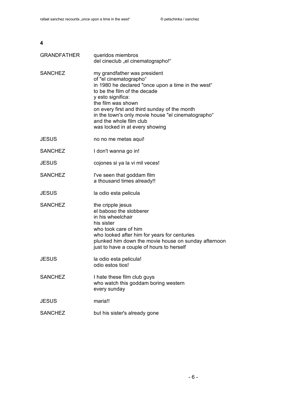| <b>GRANDFATHER</b> | queridos miembros<br>del cineclub "el cinematographo!"                                                                                                                                                                                                                                                                                                     |
|--------------------|------------------------------------------------------------------------------------------------------------------------------------------------------------------------------------------------------------------------------------------------------------------------------------------------------------------------------------------------------------|
| <b>SANCHEZ</b>     | my grandfather was president<br>of "el cinematographo"<br>in 1980 he declared "once upon a time in the west"<br>to be the film of the decade<br>y esto significa:<br>the film was shown<br>on every first and third sunday of the month<br>in the town's only movie house "el cinematographo"<br>and the whole film club<br>was locked in at every showing |
| <b>JESUS</b>       | no no me metas aqui!                                                                                                                                                                                                                                                                                                                                       |
| <b>SANCHEZ</b>     | I don't wanna go in!                                                                                                                                                                                                                                                                                                                                       |
| <b>JESUS</b>       | cojones si ya la vi mil veces!                                                                                                                                                                                                                                                                                                                             |
| <b>SANCHEZ</b>     | I've seen that goddam film<br>a thousand times already!!                                                                                                                                                                                                                                                                                                   |
| <b>JESUS</b>       | la odio esta pelicula                                                                                                                                                                                                                                                                                                                                      |
| <b>SANCHEZ</b>     | the cripple jesus<br>el baboso the slobberer<br>in his wheelchair<br>his sister<br>who took care of him<br>who looked after him for years for centuries<br>plunked him down the movie house on sunday afternoon<br>just to have a couple of hours to herself                                                                                               |
| <b>JESUS</b>       | la odio esta pelicula!<br>odio estos tios!                                                                                                                                                                                                                                                                                                                 |
| <b>SANCHEZ</b>     | I hate these film club guys<br>who watch this goddam boring western<br>every sunday                                                                                                                                                                                                                                                                        |
| <b>JESUS</b>       | maria!!                                                                                                                                                                                                                                                                                                                                                    |
| <b>SANCHEZ</b>     | but his sister's already gone                                                                                                                                                                                                                                                                                                                              |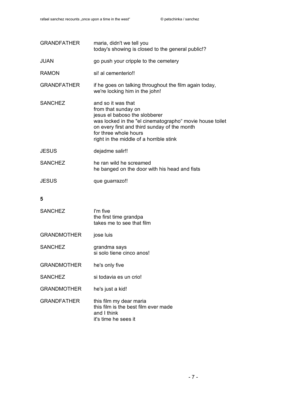| <b>GRANDFATHER</b> | maria, didn't we tell you<br>today's showing is closed to the general public!?                                                                                                                                                                             |
|--------------------|------------------------------------------------------------------------------------------------------------------------------------------------------------------------------------------------------------------------------------------------------------|
| <b>JUAN</b>        | go push your cripple to the cemetery                                                                                                                                                                                                                       |
| <b>RAMON</b>       | si! al cementerio!!                                                                                                                                                                                                                                        |
| <b>GRANDFATHER</b> | if he goes on talking throughout the film again today,<br>we're locking him in the john!                                                                                                                                                                   |
| <b>SANCHEZ</b>     | and so it was that<br>from that sunday on<br>jesus el baboso the slobberer<br>was locked in the "el cinematographo" movie house toilet<br>on every first and third sunday of the month<br>for three whole hours<br>right in the middle of a horrible stink |
| <b>JESUS</b>       | dejadme salir!!                                                                                                                                                                                                                                            |
| <b>SANCHEZ</b>     | he ran wild he screamed<br>he banged on the door with his head and fists                                                                                                                                                                                   |
| <b>JESUS</b>       | que guarrazo!!                                                                                                                                                                                                                                             |
| 5                  |                                                                                                                                                                                                                                                            |
| <b>SANCHEZ</b>     | I'm five<br>the first time grandpa<br>takes me to see that film                                                                                                                                                                                            |
| <b>GRANDMOTHER</b> | jose luis                                                                                                                                                                                                                                                  |
| <b>SANCHEZ</b>     | grandma says<br>si solo tiene cinco anos!                                                                                                                                                                                                                  |
| <b>GRANDMOTHER</b> | he's only five                                                                                                                                                                                                                                             |
| <b>SANCHEZ</b>     | si todavia es un crio!                                                                                                                                                                                                                                     |
| <b>GRANDMOTHER</b> | he's just a kid!                                                                                                                                                                                                                                           |
| <b>GRANDFATHER</b> | this film my dear maria<br>this film is the best film ever made<br>and I think<br>it's time he sees it                                                                                                                                                     |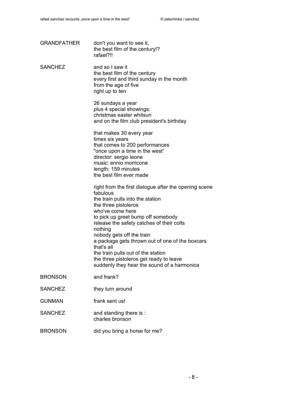| <b>GRANDFATHER</b> | don't you want to see it,<br>the best film of the century!?<br>rafael?!!                                                                                                                                                                                                                                                                                                                                                                                                      |
|--------------------|-------------------------------------------------------------------------------------------------------------------------------------------------------------------------------------------------------------------------------------------------------------------------------------------------------------------------------------------------------------------------------------------------------------------------------------------------------------------------------|
| <b>SANCHEZ</b>     | and so I saw it<br>the best film of the century<br>every first and third sunday in the month<br>from the age of five<br>right up to ten                                                                                                                                                                                                                                                                                                                                       |
|                    | 26 sundays a year<br>plus 4 special showings:<br>christmas easter whitsun<br>and on the film club president's birthday                                                                                                                                                                                                                                                                                                                                                        |
|                    | that makes 30 every year<br>times six years<br>that comes to 200 performances<br>"once upon a time in the west"<br>director: sergio leone<br>music: ennio morricone<br>length: 159 minutes<br>the best film ever made                                                                                                                                                                                                                                                         |
|                    | right from the first dialogue after the opening scene<br>fabulous<br>the train pulls into the station<br>the three pistoleros<br>who've come here<br>to pick up greet bump off somebody<br>release the safety catches of their colts<br>nothing<br>nobody gets off the train<br>a package gets thrown out of one of the boxcars<br>that's all<br>the train pulls out of the station<br>the three pistoleros get ready to leave<br>suddenly they hear the sound of a harmonica |
| <b>BRONSON</b>     | and frank?                                                                                                                                                                                                                                                                                                                                                                                                                                                                    |
| <b>SANCHEZ</b>     | they turn around                                                                                                                                                                                                                                                                                                                                                                                                                                                              |
| <b>GUNMAN</b>      | frank sent us!                                                                                                                                                                                                                                                                                                                                                                                                                                                                |
| <b>SANCHEZ</b>     | and standing there is:<br>charles bronson                                                                                                                                                                                                                                                                                                                                                                                                                                     |
| <b>BRONSON</b>     | did you bring a horse for me?                                                                                                                                                                                                                                                                                                                                                                                                                                                 |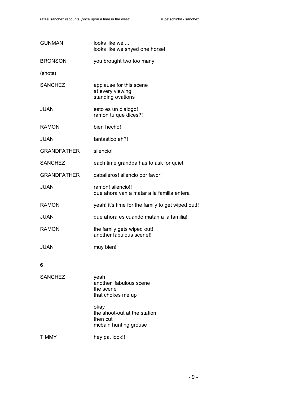| <b>GUNMAN</b>      | looks like we<br>looks like we shyed one horse!                           |
|--------------------|---------------------------------------------------------------------------|
| <b>BRONSON</b>     | you brought two too many!                                                 |
| (shots)            |                                                                           |
| <b>SANCHEZ</b>     | applause for this scene<br>at every viewing<br>standing ovations          |
| <b>JUAN</b>        | esto es un dialogo!<br>ramon tu que dices?!                               |
| <b>RAMON</b>       | bien hecho!                                                               |
| <b>JUAN</b>        | fantastico eh?!                                                           |
| <b>GRANDFATHER</b> | silencio!                                                                 |
| <b>SANCHEZ</b>     | each time grandpa has to ask for quiet                                    |
| <b>GRANDFATHER</b> | caballeros! silencio por favor!                                           |
| <b>JUAN</b>        | ramon! silencio!!<br>que ahora van a matar a la familia entera            |
| <b>RAMON</b>       | yeah! it's time for the family to get wiped out!!                         |
| <b>JUAN</b>        | que ahora es cuando matan a la familia!                                   |
| <b>RAMON</b>       | the family gets wiped out!<br>another fabulous scene!!                    |
| <b>JUAN</b>        | muy bien!                                                                 |
| 6                  |                                                                           |
| <b>SANCHEZ</b>     | yeah<br>another fabulous scene<br>the scene<br>that chokes me up          |
|                    | okay<br>the shoot-out at the station<br>then cut<br>mcbain hunting grouse |

TIMMY hey pa, look!!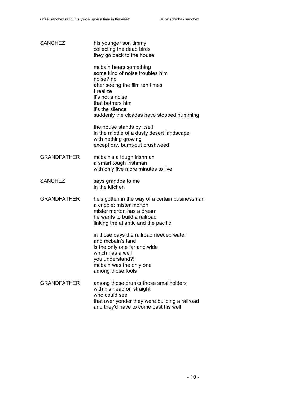| <b>SANCHEZ</b>     | his younger son timmy<br>collecting the dead birds<br>they go back to the house                                                                                                                                                 |
|--------------------|---------------------------------------------------------------------------------------------------------------------------------------------------------------------------------------------------------------------------------|
|                    | mcbain hears something<br>some kind of noise troubles him<br>noise? no<br>after seeing the film ten times<br>I realize<br>it's not a noise<br>that bothers him<br>it's the silence<br>suddenly the cicadas have stopped humming |
|                    | the house stands by itself<br>in the middle of a dusty desert landscape<br>with nothing growing<br>except dry, burnt-out brushweed                                                                                              |
| <b>GRANDFATHER</b> | mcbain's a tough irishman<br>a smart tough irishman<br>with only five more minutes to live                                                                                                                                      |
| <b>SANCHEZ</b>     | says grandpa to me<br>in the kitchen                                                                                                                                                                                            |
| <b>GRANDFATHER</b> | he's gotten in the way of a certain businessman<br>a cripple: mister morton<br>mister morton has a dream<br>he wants to build a railroad<br>linking the atlantic and the pacific                                                |
|                    | in those days the railroad needed water<br>and mcbain's land<br>is the only one far and wide<br>which has a well<br>you understand?!<br>mcbain was the only one<br>among those fools                                            |
| <b>GRANDFATHER</b> | among those drunks those smallholders<br>with his head on straight<br>who could see<br>that over yonder they were building a railroad<br>and they'd have to come past his well                                                  |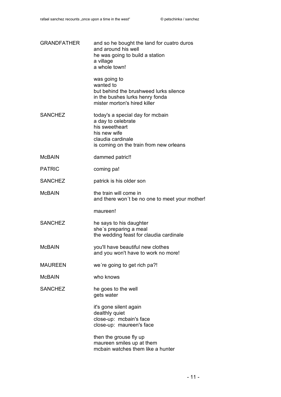| <b>GRANDFATHER</b> | and so he bought the land for cuatro duros<br>and around his well<br>he was going to build a station<br>a village<br>a whole town!                       |
|--------------------|----------------------------------------------------------------------------------------------------------------------------------------------------------|
|                    | was going to<br>wanted to<br>but behind the brushweed lurks silence<br>in the bushes lurks henry fonda<br>mister morton's hired killer                   |
| <b>SANCHEZ</b>     | today's a special day for mcbain<br>a day to celebrate<br>his sweetheart<br>his new wife<br>claudia cardinale<br>is coming on the train from new orleans |
| McBAIN             | dammed patric!!                                                                                                                                          |
| PATRIC             | coming pa!                                                                                                                                               |
| <b>SANCHEZ</b>     | patrick is his older son                                                                                                                                 |
| McBAIN             | the train will come in<br>and there won't be no one to meet your mother!                                                                                 |
|                    | maureen!                                                                                                                                                 |
| <b>SANCHEZ</b>     | he says to his daughter<br>she's preparing a meal<br>the wedding feast for claudia cardinale                                                             |
| McBAIN             | you'll have beautiful new clothes<br>and you won't have to work no more!                                                                                 |
| MAUREEN            | we're going to get rich pa?!                                                                                                                             |
| McBAIN             | who knows                                                                                                                                                |
| <b>SANCHEZ</b>     | he goes to the well<br>gets water                                                                                                                        |
|                    | it's gone silent again<br>dealthly quiet<br>close-up: mcbain's face<br>close-up: maureen's face                                                          |
|                    | then the grouse fly up<br>maureen smiles up at them<br>mcbain watches them like a hunter                                                                 |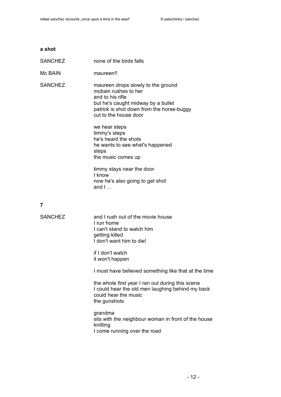# **a shot** SANCHEZ none of the birds falls Mc BAIN maureen! SANCHEZ maureen drops slowly to the ground mcbain rushes to her and to his rifle but he's caught midway by a bullet patrick is shot down from the horse-buggy cut to the house door we hear steps timmy's steps he's heard the shots he wants to see what's happened steps the music comes up timmy stays near the door I know now he's also going to get shot and  $I...$ **7** SANCHEZ and I rush out of the movie house I run home I can't stand to watch him getting killed I don't want him to die! if I don't watch it won't happen

I must have believed something like that at the time

the whole first year I ran out during this scene I could hear the old men laughing behind my back could hear the music the gunshots

grandma sits with the neighbour woman in front of the house knitting I come running over the road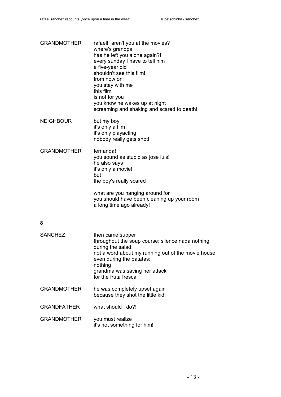| <b>GRANDMOTHER</b> | rafael!! aren't you at the movies?<br>where's grandpa<br>has he left you alone again?!<br>every sunday I have to tell him<br>a five-year old<br>shouldn't see this film!<br>from now on<br>you stay with me<br>this film<br>is not for you<br>you know he wakes up at night<br>screaming and shaking and scared to death! |
|--------------------|---------------------------------------------------------------------------------------------------------------------------------------------------------------------------------------------------------------------------------------------------------------------------------------------------------------------------|
| <b>NEIGHBOUR</b>   | but my boy<br>it's only a film<br>it's only playacting<br>nobody really gets shot!                                                                                                                                                                                                                                        |
| <b>GRANDMOTHER</b> | fernanda!<br>you sound as stupid as jose luis!<br>he also says<br>it's only a movie!<br>but<br>the boy's really scared                                                                                                                                                                                                    |
|                    | what are you hanging around for<br>you should have been cleaning up your room<br>a long time ago already!                                                                                                                                                                                                                 |
| 8                  |                                                                                                                                                                                                                                                                                                                           |
| <b>SANCHEZ</b>     | then came supper<br>throughout the soup course: silence nada nothing<br>during the salad:<br>not a word about my running out of the movie house<br>even during the patatas:<br>nothing<br>grandma was saving her attack<br>for the fruta fresca                                                                           |
| <b>GRANDMOTHER</b> | he was completely upset again<br>because they shot the little kid!                                                                                                                                                                                                                                                        |
| <b>GRANDFATHER</b> | what should I do?!                                                                                                                                                                                                                                                                                                        |
| <b>GRANDMOTHER</b> | you must realize<br>it's not something for him!                                                                                                                                                                                                                                                                           |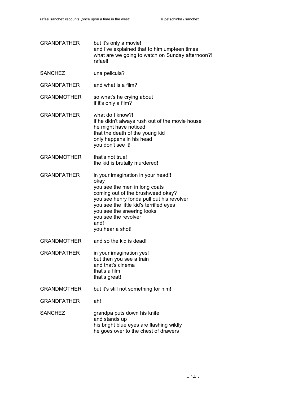| <b>GRANDFATHER</b> | but it's only a movie!<br>and I've explained that to him umpteen times<br>what are we going to watch on Sunday afternoon?!<br>rafael!                                                                                                                                                      |
|--------------------|--------------------------------------------------------------------------------------------------------------------------------------------------------------------------------------------------------------------------------------------------------------------------------------------|
| <b>SANCHEZ</b>     | una pelicula?                                                                                                                                                                                                                                                                              |
| <b>GRANDFATHER</b> | and what is a film?                                                                                                                                                                                                                                                                        |
| <b>GRANDMOTHER</b> | so what's he crying about<br>if it's only a film?                                                                                                                                                                                                                                          |
| <b>GRANDFATHER</b> | what do I know?!<br>if he didn't always rush out of the movie house<br>he might have noticed<br>that the death of the young kid<br>only happens in his head<br>you don't see it!                                                                                                           |
| <b>GRANDMOTHER</b> | that's not true!<br>the kid is brutally murdered!                                                                                                                                                                                                                                          |
| <b>GRANDFATHER</b> | in your imagination in your head!!<br>okay<br>you see the men in long coats<br>coming out of the brushweed okay?<br>you see henry fonda pull out his revolver<br>you see the little kid's terrified eyes<br>you see the sneering looks<br>you see the revolver<br>and!<br>you hear a shot! |
| <b>GRANDMOTHER</b> | and so the kid is dead!                                                                                                                                                                                                                                                                    |
| <b>GRANDFATHER</b> | in your imagination yes!<br>but then you see a train<br>and that's cinema<br>that's a film<br>that's great!                                                                                                                                                                                |
| <b>GRANDMOTHER</b> | but it's still not something for him!                                                                                                                                                                                                                                                      |
| <b>GRANDFATHER</b> | ah!                                                                                                                                                                                                                                                                                        |
| <b>SANCHEZ</b>     | grandpa puts down his knife<br>and stands up<br>his bright blue eyes are flashing wildly<br>he goes over to the chest of drawers                                                                                                                                                           |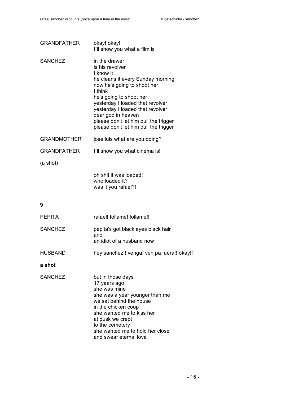| <b>GRANDFATHER</b> | okay! okay!<br>I'll show you what a film is                                                                                                                                                                                                                                                                                             |
|--------------------|-----------------------------------------------------------------------------------------------------------------------------------------------------------------------------------------------------------------------------------------------------------------------------------------------------------------------------------------|
| <b>SANCHEZ</b>     | in the drawer<br>is his revolver<br>I know it<br>he cleans it every Sunday morning<br>now he's going to shoot her<br>I think<br>he's going to shoot her<br>yesterday I loaded that revolver<br>yesterday I loaded that revolver<br>dear god in heaven<br>please don't let him pull the trigger<br>please don't let him pull the trigger |
| GRANDMOTHER        | jose luis what are you doing?                                                                                                                                                                                                                                                                                                           |
| <b>GRANDFATHER</b> | I'll show you what cinema is!                                                                                                                                                                                                                                                                                                           |
| (a shot)           |                                                                                                                                                                                                                                                                                                                                         |
|                    | oh shit it was loaded!<br>who loaded it?                                                                                                                                                                                                                                                                                                |

| <b>PEPITA</b>  | rafael! follame! follame!!                                                                                                                                                                                                                                             |
|----------------|------------------------------------------------------------------------------------------------------------------------------------------------------------------------------------------------------------------------------------------------------------------------|
| <b>SANCHEZ</b> | pepita's got black eyes black hair<br>and<br>an idiot of a husband now                                                                                                                                                                                                 |
| <b>HUSBAND</b> | hey sanchez!! venga! ven pa fuera!! okay!!                                                                                                                                                                                                                             |
| a shot         |                                                                                                                                                                                                                                                                        |
| <b>SANCHEZ</b> | but in those days<br>17 years ago<br>she was mine<br>she was a year younger than me<br>we sat behind the house<br>in the chicken coop<br>she wanted me to kiss her<br>at dusk we crept<br>to the cemetery<br>she wanted me to hold her close<br>and swear eternal love |

was it you rafael?!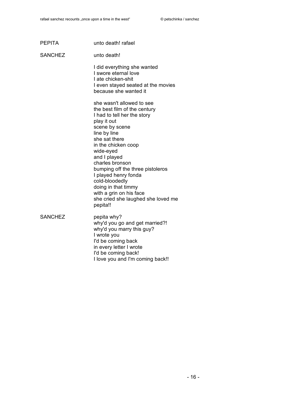| <b>PEPITA</b>  | unto death! rafael                                                                                                                                                                                                                                                                                                                                                                                                  |
|----------------|---------------------------------------------------------------------------------------------------------------------------------------------------------------------------------------------------------------------------------------------------------------------------------------------------------------------------------------------------------------------------------------------------------------------|
| <b>SANCHEZ</b> | unto death!                                                                                                                                                                                                                                                                                                                                                                                                         |
|                | I did everything she wanted<br>I swore eternal love<br>I ate chicken-shit<br>I even stayed seated at the movies<br>because she wanted it                                                                                                                                                                                                                                                                            |
|                | she wasn't allowed to see<br>the best film of the century<br>I had to tell her the story<br>play it out<br>scene by scene<br>line by line<br>she sat there<br>in the chicken coop<br>wide-eyed<br>and I played<br>charles bronson<br>bumping off the three pistoleros<br>I played henry fonda<br>cold-bloodedly<br>doing in that timmy<br>with a grin on his face<br>she cried she laughed she loved me<br>pepita!! |
| <b>SANCHEZ</b> | pepita why?<br>why'd you go and get married?!<br>why'd you marry this guy?<br>I wrote you<br>I'd be coming back<br>in every letter I wrote<br>I'd be coming back!<br>I love you and I'm coming back!!                                                                                                                                                                                                               |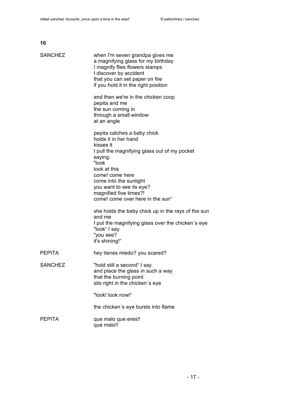| <b>SANCHEZ</b> | when I'm seven grandpa gives me<br>a magnifying glass for my birthday<br>I magnify flies flowers stamps<br>I discover by accident<br>that you can set paper on fire<br>if you hold it in the right position                                                                                 |
|----------------|---------------------------------------------------------------------------------------------------------------------------------------------------------------------------------------------------------------------------------------------------------------------------------------------|
|                | and then we're in the chicken coop<br>pepita and me<br>the sun coming in<br>through a small window<br>at an angle                                                                                                                                                                           |
|                | pepita catches a baby chick<br>holds it in her hand<br>kisses it<br>I pull the magnifying glass out of my pocket<br>saying:<br>"look<br>look at this<br>come! come here<br>come into the sunlight<br>you want to see its eye?<br>magnified five times?!<br>come! come over here in the sun" |
|                | she holds the baby chick up in the rays of the sun<br>and me<br>I put the magnifying glass over the chicken's eye<br>"look" I say<br>"you see?<br>it's shining!"                                                                                                                            |
| PEPITA         | hey tienes miedo? you scared?                                                                                                                                                                                                                                                               |
| <b>SANCHEZ</b> | "hold still a second" I say<br>and place the glass in such a way<br>that the burning point<br>sits right in the chicken's eye                                                                                                                                                               |
|                | "look! look now!"                                                                                                                                                                                                                                                                           |
|                | the chicken's eye bursts into flame                                                                                                                                                                                                                                                         |
| PEPITA         | que malo que eres!!<br>que malo!!                                                                                                                                                                                                                                                           |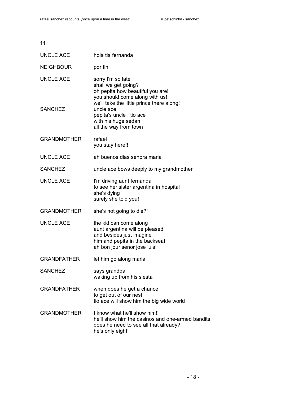| 11                                 |                                                                                                                                                                                                                                                      |
|------------------------------------|------------------------------------------------------------------------------------------------------------------------------------------------------------------------------------------------------------------------------------------------------|
| UNCLE ACE                          | hola tia fernanda                                                                                                                                                                                                                                    |
| <b>NEIGHBOUR</b>                   | por fin                                                                                                                                                                                                                                              |
| <b>UNCLE ACE</b><br><b>SANCHEZ</b> | sorry I'm so late<br>shall we get going?<br>oh pepita how beautiful you are!<br>you should come along with us!<br>we'll take the little prince there along!<br>uncle ace<br>pepita's uncle : tio ace<br>with his huge sedan<br>all the way from town |
| <b>GRANDMOTHER</b>                 | rafael<br>you stay here!!                                                                                                                                                                                                                            |
| <b>UNCLE ACE</b>                   | ah buenos dias senora maria                                                                                                                                                                                                                          |
| <b>SANCHEZ</b>                     | uncle ace bows deeply to my grandmother                                                                                                                                                                                                              |
| <b>UNCLE ACE</b>                   | I'm driving aunt fernanda<br>to see her sister argentina in hospital<br>she's dying<br>surely she told you!                                                                                                                                          |
| <b>GRANDMOTHER</b>                 | she's not going to die?!                                                                                                                                                                                                                             |
| <b>UNCLE ACE</b>                   | the kid can come along<br>aunt argentina will be pleased<br>and besides just imagine<br>him and pepita in the backseat!<br>ah bon jour senor jose luis!                                                                                              |
| <b>GRANDFATHER</b>                 | let him go along maria                                                                                                                                                                                                                               |
| <b>SANCHEZ</b>                     | says grandpa<br>waking up from his siesta                                                                                                                                                                                                            |
| <b>GRANDFATHER</b>                 | when does he get a chance<br>to get out of our nest<br>tio ace will show him the big wide world                                                                                                                                                      |
| <b>GRANDMOTHER</b>                 | I know what he'll show him!!<br>he'll show him the casinos and one-armed bandits<br>does he need to see all that already?<br>he's only eight!                                                                                                        |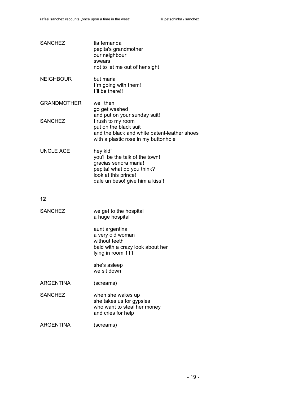| <b>SANCHEZ</b>     | tia fernanda<br>pepita's grandmother<br>our neighbour<br>swears<br>not to let me out of her sight                                                             |
|--------------------|---------------------------------------------------------------------------------------------------------------------------------------------------------------|
| <b>NEIGHBOUR</b>   | but maria<br>I'm going with them!<br>I'll be there!!                                                                                                          |
| <b>GRANDMOTHER</b> | well then<br>go get washed<br>and put on your sunday suit!                                                                                                    |
| <b>SANCHEZ</b>     | I rush to my room<br>put on the black suit<br>and the black and white patent-leather shoes<br>with a plastic rose in my buttonhole                            |
| <b>UNCLE ACE</b>   | hey kid!<br>you'll be the talk of the town!<br>gracias senora maria!<br>pepita! what do you think?<br>look at this prince!<br>dale un beso! give him a kiss!! |
| 12                 |                                                                                                                                                               |
| <b>SANCHEZ</b>     | we get to the hospital<br>a huge hospital                                                                                                                     |
|                    | aunt argentina<br>a very old woman<br>without teeth<br>bald with a crazy look about her<br>lying in room 111                                                  |
|                    | she's asleep<br>we sit down                                                                                                                                   |
| <b>ARGENTINA</b>   | (screams)                                                                                                                                                     |
| <b>SANCHEZ</b>     | when she wakes up<br>she takes us for gypsies<br>who want to steal her money<br>and cries for help                                                            |
| <b>ARGENTINA</b>   | (screams)                                                                                                                                                     |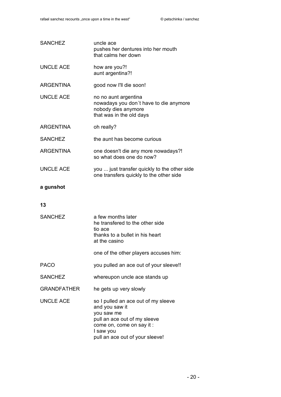| <b>SANCHEZ</b>     | uncle ace<br>pushes her dentures into her mouth<br>that calms her down                                                                                                           |
|--------------------|----------------------------------------------------------------------------------------------------------------------------------------------------------------------------------|
| <b>UNCLE ACE</b>   | how are you?!<br>aunt argentina?!                                                                                                                                                |
| <b>ARGENTINA</b>   | good now I'll die soon!                                                                                                                                                          |
| <b>UNCLE ACE</b>   | no no aunt argentina<br>nowadays you don't have to die anymore<br>nobody dies anymore<br>that was in the old days                                                                |
| <b>ARGENTINA</b>   | oh really?                                                                                                                                                                       |
| <b>SANCHEZ</b>     | the aunt has become curious                                                                                                                                                      |
| <b>ARGENTINA</b>   | one doesn't die any more nowadays?!<br>so what does one do now?                                                                                                                  |
| <b>UNCLE ACE</b>   | you  just transfer quickly to the other side<br>one transfers quickly to the other side                                                                                          |
| a gunshot          |                                                                                                                                                                                  |
| 13                 |                                                                                                                                                                                  |
| <b>SANCHEZ</b>     | a few months later<br>he transfered to the other side<br>tio ace<br>thanks to a bullet in his heart<br>at the casino                                                             |
|                    | one of the other players accuses him:                                                                                                                                            |
| <b>PACO</b>        | you pulled an ace out of your sleeve!!                                                                                                                                           |
| <b>SANCHEZ</b>     | whereupon uncle ace stands up                                                                                                                                                    |
| <b>GRANDFATHER</b> | he gets up very slowly                                                                                                                                                           |
| <b>UNCLE ACE</b>   | so I pulled an ace out of my sleeve<br>and you saw it<br>you saw me<br>pull an ace out of my sleeve<br>come on, come on say it :<br>I saw you<br>pull an ace out of your sleeve! |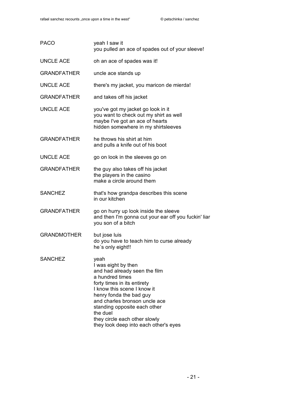| <b>PACO</b>        | yeah I saw it<br>you pulled an ace of spades out of your sleeve!                                                                                                                                                                                                                                                                |
|--------------------|---------------------------------------------------------------------------------------------------------------------------------------------------------------------------------------------------------------------------------------------------------------------------------------------------------------------------------|
| <b>UNCLE ACE</b>   | oh an ace of spades was it!                                                                                                                                                                                                                                                                                                     |
| <b>GRANDFATHER</b> | uncle ace stands up                                                                                                                                                                                                                                                                                                             |
| <b>UNCLE ACE</b>   | there's my jacket, you maricon de mierda!                                                                                                                                                                                                                                                                                       |
| <b>GRANDFATHER</b> | and takes off his jacket                                                                                                                                                                                                                                                                                                        |
| <b>UNCLE ACE</b>   | you've got my jacket go look in it<br>you want to check out my shirt as well<br>maybe I've got an ace of hearts<br>hidden somewhere in my shirtsleeves                                                                                                                                                                          |
| <b>GRANDFATHER</b> | he throws his shirt at him<br>and pulls a knife out of his boot                                                                                                                                                                                                                                                                 |
| <b>UNCLE ACE</b>   | go on look in the sleeves go on                                                                                                                                                                                                                                                                                                 |
| <b>GRANDFATHER</b> | the guy also takes off his jacket<br>the players in the casino<br>make a circle around them                                                                                                                                                                                                                                     |
| <b>SANCHEZ</b>     | that's how grandpa describes this scene<br>in our kitchen                                                                                                                                                                                                                                                                       |
| <b>GRANDFATHER</b> | go on hurry up look inside the sleeve<br>and then I'm gonna cut your ear off you fuckin' liar<br>you son of a bitch                                                                                                                                                                                                             |
| <b>GRANDMOTHER</b> | but jose luis<br>do you have to teach him to curse already<br>he's only eight!!                                                                                                                                                                                                                                                 |
| <b>SANCHEZ</b>     | yeah<br>I was eight by then<br>and had already seen the film<br>a hundred times<br>forty times in its entirety<br>I know this scene I know it<br>henry fonda the bad guy<br>and charles bronson uncle ace<br>standing opposite each other<br>the duel<br>they circle each other slowly<br>they look deep into each other's eyes |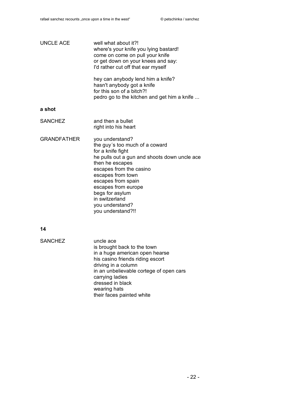| <b>UNCLE ACE</b>   | well what about it?!<br>where's your knife you lying bastard!<br>come on come on pull your knife<br>or get down on your knees and say:<br>I'd rather cut off that ear myself                                                                                                                                        |
|--------------------|---------------------------------------------------------------------------------------------------------------------------------------------------------------------------------------------------------------------------------------------------------------------------------------------------------------------|
|                    | hey can anybody lend him a knife?<br>hasn't anybody got a knife<br>for this son of a bitch?!<br>pedro go to the kitchen and get him a knife                                                                                                                                                                         |
| a shot             |                                                                                                                                                                                                                                                                                                                     |
| <b>SANCHEZ</b>     | and then a bullet<br>right into his heart                                                                                                                                                                                                                                                                           |
| <b>GRANDFATHER</b> | you understand?<br>the guy's too much of a coward<br>for a knife fight<br>he pulls out a gun and shoots down uncle ace<br>then he escapes<br>escapes from the casino<br>escapes from town<br>escapes from spain<br>escapes from europe<br>begs for asylum<br>in switzerland<br>you understand?<br>you understand?!! |
| 14                 |                                                                                                                                                                                                                                                                                                                     |
| <b>SANCHEZ</b>     | uncle ace<br>اللاصطلاح المتاب المطالع المرود والمتحل الما                                                                                                                                                                                                                                                           |

is brought back to the town in a huge american open hearse his casino friends riding escort driving in a column in an unbelievable cortege of open cars carrying ladies dressed in black wearing hats their faces painted white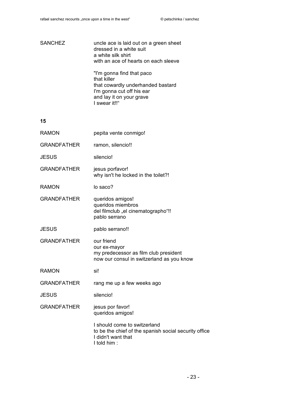## SANCHEZ uncle ace is laid out on a green sheet dressed in a white suit a white silk shirt with an ace of hearts on each sleeve "I'm gonna find that paco that killer that cowardly underhanded bastard I'm gonna cut off his ear and lay it on your grave

I swear it!!"

| RAMON              | pepita vente conmigo!                                                                                                      |
|--------------------|----------------------------------------------------------------------------------------------------------------------------|
| <b>GRANDFATHER</b> | ramon, silencio!!                                                                                                          |
| <b>JESUS</b>       | silencio!                                                                                                                  |
| <b>GRANDFATHER</b> | jesus porfavor!<br>why isn't he locked in the toilet?!                                                                     |
| RAMON              | lo saco?                                                                                                                   |
| <b>GRANDFATHER</b> | queridos amigos!<br>queridos miembros<br>del filmclub "el cinematographo"!!<br>pablo serrano                               |
| JESUS              | pablo serrano!!                                                                                                            |
| <b>GRANDFATHER</b> | our friend<br>our ex-mayor<br>my predecessor as film club president<br>now our consul in switzerland as you know           |
| RAMON              | si!                                                                                                                        |
| <b>GRANDFATHER</b> | rang me up a few weeks ago                                                                                                 |
| JESUS              | silencio!                                                                                                                  |
| <b>GRANDFATHER</b> | jesus por favor!<br>queridos amigos!                                                                                       |
|                    | I should come to switzerland<br>to be the chief of the spanish social security office<br>I didn't want that<br>I told him: |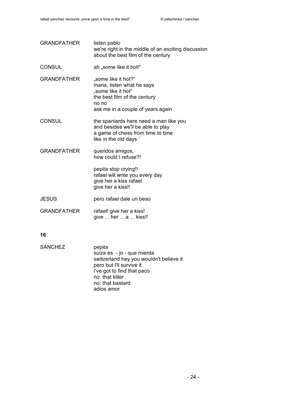| <b>GRANDFATHER</b> | listen pablo<br>we're right in the middle of an exciting discussion<br>about the best film of the century                                             |
|--------------------|-------------------------------------------------------------------------------------------------------------------------------------------------------|
| <b>CONSUL</b>      | ah "some like it hot!"                                                                                                                                |
| <b>GRANDFATHER</b> | "some like it hot?"<br>maria, listen what he says<br>"some like it hot"<br>the best film of the century<br>no no<br>ask me in a couple of years again |
| <b>CONSUL</b>      | the spaniards here need a man like you<br>and besides we'll be able to play<br>a game of chess from time to time<br>like in the old days '            |
| <b>GRANDFATHER</b> | queridos amigos,<br>how could I refuse?!                                                                                                              |
|                    | pepita stop crying!!<br>rafael will write you every day<br>give her a kiss rafael<br>give her a kiss!!                                                |
| <b>JESUS</b>       | pero rafael dale un beso                                                                                                                              |
| <b>GRANDFATHER</b> | rafael! give her a kiss!<br>give  her  a  kiss!!                                                                                                      |
| 16                 |                                                                                                                                                       |
| <b>SANCHEZ</b>     | pepita<br>suiza es - jo - que mierda                                                                                                                  |

suiza es - jo - que mierda switzerland hey you wouldn't believe it pero but I'll survive it I've got to find that paco no: that killer no: that bastard adios amor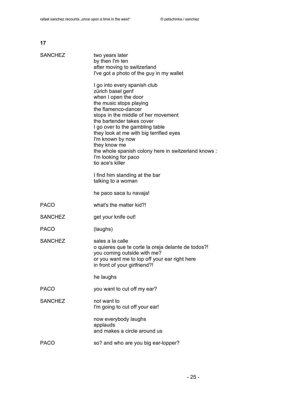| <b>SANCHEZ</b> | two years later<br>by then I'm ten<br>after moving to switzerland<br>I've got a photo of the guy in my wallet                                                                                                                                                                                                                                                                                                         |
|----------------|-----------------------------------------------------------------------------------------------------------------------------------------------------------------------------------------------------------------------------------------------------------------------------------------------------------------------------------------------------------------------------------------------------------------------|
|                | I go into every spanish club<br>zürich basel genf<br>when I open the door<br>the music stops playing<br>the flamenco-dancer<br>stops in the middle of her movement<br>the bartender takes cover<br>I go over to the gambling table<br>they look at me with big terrified eyes<br>I'm known by now<br>they know me<br>the whole spanish colony here in switzerland knows :<br>I'm looking for paco<br>tio ace's killer |
|                | I find him standing at the bar<br>talking to a woman                                                                                                                                                                                                                                                                                                                                                                  |
|                | he paco saca tu navaja!                                                                                                                                                                                                                                                                                                                                                                                               |
| <b>PACO</b>    | what's the matter kid?!                                                                                                                                                                                                                                                                                                                                                                                               |
| <b>SANCHEZ</b> | get your knife out!                                                                                                                                                                                                                                                                                                                                                                                                   |
| <b>PACO</b>    | (laughs)                                                                                                                                                                                                                                                                                                                                                                                                              |
| <b>SANCHEZ</b> | sales a la calle<br>o quieres que te corte la oreja delante de todos?!<br>you coming outside with me?<br>or you want me to lop off your ear right here<br>in front of your girlfriend?!                                                                                                                                                                                                                               |
|                | he laughs                                                                                                                                                                                                                                                                                                                                                                                                             |
| <b>PACO</b>    | you want to cut off my ear?                                                                                                                                                                                                                                                                                                                                                                                           |
| <b>SANCHEZ</b> | not want to<br>I'm going to cut off your ear!                                                                                                                                                                                                                                                                                                                                                                         |
|                | now everybody laughs<br>applauds<br>and makes a circle around us                                                                                                                                                                                                                                                                                                                                                      |
| <b>PACO</b>    | so? and who are you big ear-lopper?                                                                                                                                                                                                                                                                                                                                                                                   |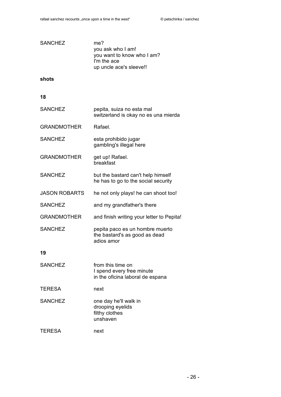| <b>SANCHEZ</b>       | me?<br>you ask who I am!<br>you want to know who I am?<br>I'm the ace<br>up uncle ace's sleeve!! |
|----------------------|--------------------------------------------------------------------------------------------------|
| shots                |                                                                                                  |
| 18                   |                                                                                                  |
| <b>SANCHEZ</b>       | pepita, suiza no esta mal<br>switzerland is okay no es una mierda                                |
| <b>GRANDMOTHER</b>   | Rafael.                                                                                          |
| <b>SANCHEZ</b>       | esta prohibido jugar<br>gambling's illegal here                                                  |
| <b>GRANDMOTHER</b>   | get up! Rafael.<br>breakfast                                                                     |
| <b>SANCHEZ</b>       | but the bastard can't help himself<br>he has to go to the social security                        |
| <b>JASON ROBARTS</b> | he not only plays! he can shoot too!                                                             |
| <b>SANCHEZ</b>       | and my grandfather's there                                                                       |
| <b>GRANDMOTHER</b>   | and finish writing your letter to Pepita!                                                        |
| <b>SANCHEZ</b>       | pepita paco es un hombre muerto<br>the bastard's as good as dead<br>adios amor                   |
| 19                   |                                                                                                  |
| <b>SANCHEZ</b>       | from this time on<br>I spend every free minute<br>in the oficina laboral de espana               |
| <b>TERESA</b>        | next                                                                                             |
| <b>SANCHEZ</b>       | one day he'll walk in<br>drooping eyelids<br>filthy clothes<br>unshaven                          |
| <b>TERESA</b>        | next                                                                                             |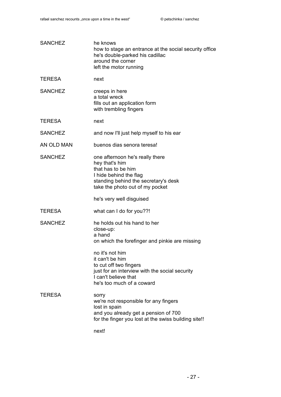| <b>SANCHEZ</b> | he knows<br>how to stage an entrance at the social security office<br>he's double-parked his cadillac<br>around the corner<br>left the motor running                                                                    |
|----------------|-------------------------------------------------------------------------------------------------------------------------------------------------------------------------------------------------------------------------|
| <b>TERESA</b>  | next                                                                                                                                                                                                                    |
| <b>SANCHEZ</b> | creeps in here<br>a total wreck<br>fills out an application form<br>with trembling fingers                                                                                                                              |
| <b>TERESA</b>  | next                                                                                                                                                                                                                    |
| <b>SANCHEZ</b> | and now I'll just help myself to his ear                                                                                                                                                                                |
| AN OLD MAN     | buenos dias senora teresa!                                                                                                                                                                                              |
| <b>SANCHEZ</b> | one afternoon he's really there<br>hey that's him<br>that has to be him<br>I hide behind the flag<br>standing behind the secretary's desk<br>take the photo out of my pocket<br>he's very well disguised                |
| <b>TERESA</b>  | what can I do for you??!                                                                                                                                                                                                |
| <b>SANCHEZ</b> | he holds out his hand to her<br>close-up:<br>a hand<br>on which the forefinger and pinkie are missing<br>no it's not him<br>it can't be him<br>to cut off two fingers<br>just for an interview with the social security |
|                | I can't believe that<br>he's too much of a coward                                                                                                                                                                       |
| <b>TERESA</b>  | sorry<br>we're not responsible for any fingers<br>lost in spain<br>and you already get a pension of 700<br>for the finger you lost at the swiss building site!!                                                         |
|                | next!                                                                                                                                                                                                                   |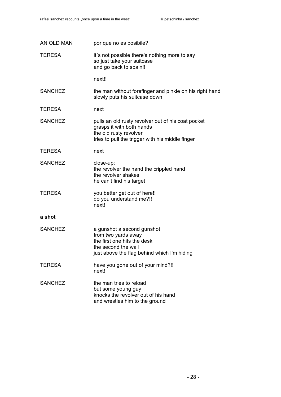| AN OLD MAN     | por que no es posibile?                                                                                                                                       |
|----------------|---------------------------------------------------------------------------------------------------------------------------------------------------------------|
| <b>TERESA</b>  | it's not possible there's nothing more to say<br>so just take your suitcase<br>and go back to spain!!                                                         |
|                | next!!                                                                                                                                                        |
| <b>SANCHEZ</b> | the man without forefinger and pinkie on his right hand<br>slowly puts his suitcase down                                                                      |
| <b>TERESA</b>  | next                                                                                                                                                          |
| <b>SANCHEZ</b> | pulls an old rusty revolver out of his coat pocket<br>grasps it with both hands<br>the old rusty revolver<br>tries to pull the trigger with his middle finger |
| <b>TERESA</b>  | next                                                                                                                                                          |
| <b>SANCHEZ</b> | close-up:<br>the revolver the hand the crippled hand<br>the revolver shakes<br>he can't find his target                                                       |
| <b>TERESA</b>  | you better get out of here!!<br>do you understand me?!!<br>next!                                                                                              |
| a shot         |                                                                                                                                                               |
| <b>SANCHEZ</b> | a gunshot a second gunshot<br>from two yards away<br>the first one hits the desk<br>the second the wall<br>just above the flag behind which I'm hiding        |
| <b>TERESA</b>  | have you gone out of your mind?!!<br>next!                                                                                                                    |
| <b>SANCHEZ</b> | the man tries to reload<br>but some young guy<br>knocks the revolver out of his hand<br>and wrestles him to the ground                                        |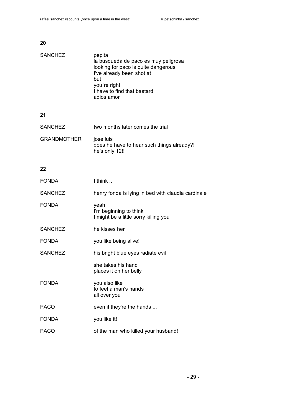| <b>SANCHEZ</b>     | pepita<br>la busqueda de paco es muy peligrosa<br>looking for paco is quite dangerous<br>I've already been shot at<br>but<br>you're right<br>I have to find that bastard<br>adios amor |
|--------------------|----------------------------------------------------------------------------------------------------------------------------------------------------------------------------------------|
| 21                 |                                                                                                                                                                                        |
| <b>SANCHEZ</b>     | two months later comes the trial                                                                                                                                                       |
| <b>GRANDMOTHER</b> | jose luis<br>does he have to hear such things already?!<br>he's only 12!!                                                                                                              |
| 22                 |                                                                                                                                                                                        |
| <b>FONDA</b>       | I think                                                                                                                                                                                |
| <b>SANCHEZ</b>     | henry fonda is lying in bed with claudia cardinale                                                                                                                                     |
| <b>FONDA</b>       | yeah<br>I'm beginning to think<br>I might be a little sorry killing you                                                                                                                |
| <b>SANCHEZ</b>     | he kisses her                                                                                                                                                                          |
| <b>FONDA</b>       | you like being alive!                                                                                                                                                                  |
| <b>SANCHEZ</b>     | his bright blue eyes radiate evil                                                                                                                                                      |
|                    | she takes his hand<br>places it on her belly                                                                                                                                           |
| <b>FONDA</b>       | you also like<br>to feel a man's hands<br>all over you                                                                                                                                 |
| <b>PACO</b>        | even if they're the hands                                                                                                                                                              |
| <b>FONDA</b>       | you like it!                                                                                                                                                                           |
| <b>PACO</b>        | of the man who killed your husband!                                                                                                                                                    |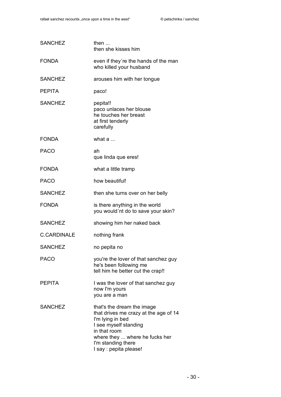| <b>SANCHEZ</b>     | then<br>then she kisses him                                                                                                                                                                                        |
|--------------------|--------------------------------------------------------------------------------------------------------------------------------------------------------------------------------------------------------------------|
| <b>FONDA</b>       | even if they're the hands of the man<br>who killed your husband                                                                                                                                                    |
| <b>SANCHEZ</b>     | arouses him with her tongue                                                                                                                                                                                        |
| <b>PEPITA</b>      | paco!                                                                                                                                                                                                              |
| <b>SANCHEZ</b>     | pepita!!<br>paco unlaces her blouse<br>he touches her breast<br>at first tenderly<br>carefully                                                                                                                     |
| <b>FONDA</b>       | what a                                                                                                                                                                                                             |
| <b>PACO</b>        | ah<br>que linda que eres!                                                                                                                                                                                          |
| <b>FONDA</b>       | what a little tramp                                                                                                                                                                                                |
| <b>PACO</b>        | how beautiful!                                                                                                                                                                                                     |
| <b>SANCHEZ</b>     | then she turns over on her belly                                                                                                                                                                                   |
| <b>FONDA</b>       | is there anything in the world<br>you would'nt do to save your skin?                                                                                                                                               |
| <b>SANCHEZ</b>     | showing him her naked back                                                                                                                                                                                         |
| <b>C.CARDINALE</b> | nothing frank                                                                                                                                                                                                      |
| <b>SANCHEZ</b>     | no pepita no                                                                                                                                                                                                       |
| <b>PACO</b>        | you're the lover of that sanchez guy<br>he's been following me<br>tell him he better cut the crap!!                                                                                                                |
| <b>PEPITA</b>      | I was the lover of that sanchez guy<br>now I'm yours<br>you are a man                                                                                                                                              |
| <b>SANCHEZ</b>     | that's the dream the image<br>that drives me crazy at the age of 14<br>I'm lying in bed<br>I see myself standing<br>in that room<br>where they  where he fucks her<br>I'm standing there<br>I say : pepita please! |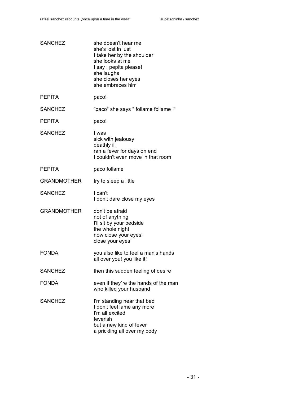| <b>SANCHEZ</b>     | she doesn't hear me<br>she's lost in lust<br>I take her by the shoulder<br>she looks at me<br>I say : pepita please!<br>she laughs<br>she closes her eyes<br>she embraces him |
|--------------------|-------------------------------------------------------------------------------------------------------------------------------------------------------------------------------|
| <b>PFPITA</b>      | paco!                                                                                                                                                                         |
| <b>SANCHEZ</b>     | "paco" she says " follame follame !"                                                                                                                                          |
| <b>PEPITA</b>      | paco!                                                                                                                                                                         |
| <b>SANCHEZ</b>     | I was<br>sick with jealousy<br>deathly ill<br>ran a fever for days on end<br>I couldn't even move in that room                                                                |
| <b>PEPITA</b>      | paco follame                                                                                                                                                                  |
| <b>GRANDMOTHER</b> | try to sleep a little                                                                                                                                                         |
| <b>SANCHEZ</b>     | I can't<br>I don't dare close my eyes                                                                                                                                         |
| <b>GRANDMOTHER</b> | don't be afraid<br>not of anything<br>I'll sit by your bedside<br>the whole night<br>now close your eyes!<br>close your eyes!                                                 |
| <b>FONDA</b>       | you also like to feel a man's hands<br>all over you! you like it!                                                                                                             |
| <b>SANCHEZ</b>     | then this sudden feeling of desire                                                                                                                                            |
| <b>FONDA</b>       | even if they're the hands of the man<br>who killed your husband                                                                                                               |
| <b>SANCHEZ</b>     | I'm standing near that bed<br>I don't feel lame any more<br>I'm all excited<br>feverish<br>but a new kind of fever<br>a prickling all over my body                            |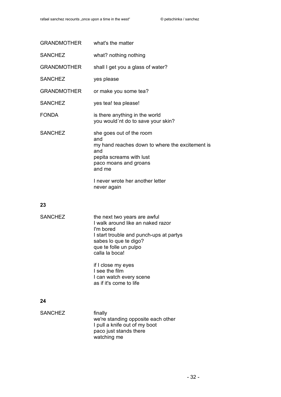| GRANDMOTHER what's the matter |                                                                                                                                                          |
|-------------------------------|----------------------------------------------------------------------------------------------------------------------------------------------------------|
| <b>SANCHEZ</b>                | what? nothing nothing                                                                                                                                    |
| <b>GRANDMOTHER</b>            | shall I get you a glass of water?                                                                                                                        |
| <b>SANCHEZ</b>                | yes please                                                                                                                                               |
| <b>GRANDMOTHER</b>            | or make you some tea?                                                                                                                                    |
| <b>SANCHEZ</b>                | yes tea! tea please!                                                                                                                                     |
| <b>FONDA</b>                  | is there anything in the world<br>you would'nt do to save your skin?                                                                                     |
| <b>SANCHEZ</b>                | she goes out of the room<br>and<br>my hand reaches down to where the excitement is<br>and<br>pepita screams with lust<br>paco moans and groans<br>and me |
|                               | I never wrote her another letter<br>never again                                                                                                          |

| <b>SANCHEZ</b> | the next two years are awful<br>I walk around like an naked razor<br>I'm bored<br>I start trouble and punch-ups at partys<br>sabes lo que te digo?<br>que te folle un pulpo<br>calla la boca! |
|----------------|-----------------------------------------------------------------------------------------------------------------------------------------------------------------------------------------------|
|                | if I close my eyes<br>I see the film<br>I can watch every scene<br>as if it's come to life                                                                                                    |

| <b>SANCHEZ</b> | finally                            |
|----------------|------------------------------------|
|                | we're standing opposite each other |
|                | I pull a knife out of my boot      |
|                | paco just stands there             |
|                | watching me                        |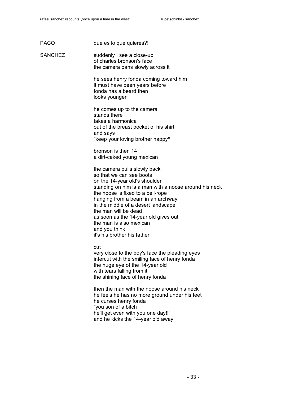PACO que es lo que quieres?!

SANCHEZ suddenly I see a close-up of charles bronson's face the camera pans slowly across it

> he sees henry fonda coming toward him it must have been years before fonda has a beard then looks younger

he comes up to the camera stands there takes a harmonica out of the breast pocket of his shirt and says : "keep your loving brother happy**"**

bronson is then 14 a dirt-caked young mexican

the camera pulls slowly back so that we can see boots on the 14-year old's shoulder standing on him is a man with a noose around his neck the noose is fixed to a bell-rope hanging from a beam in an archway in the middle of a desert landscape the man will be dead as soon as the 14-year old gives out the man is also mexican and you think it's his brother his father

cut

very close to the boy's face the pleading eyes intercut with the smiling face of henry fonda the huge eye of the 14-year old with tears falling from it the shining face of henry fonda

then the man with the noose around his neck he feels he has no more ground under his feet he curses henry fonda "you son of a bitch he'll get even with you one day!!" and he kicks the 14-year old away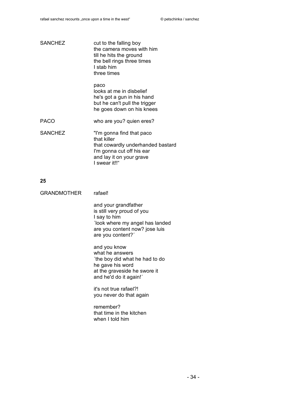| <b>SANCHEZ</b> | cut to the falling boy<br>the camera moves with him<br>till he hits the ground<br>the bell rings three times<br>I stab him<br>three times               |
|----------------|---------------------------------------------------------------------------------------------------------------------------------------------------------|
|                | paco<br>looks at me in disbelief<br>he's got a gun in his hand<br>but he can't pull the trigger<br>he goes down on his knees                            |
| <b>PACO</b>    | who are you? quien eres?                                                                                                                                |
| <b>SANCHEZ</b> | "I'm gonna find that paco<br>that killer<br>that cowardly underhanded bastard<br>I'm gonna cut off his ear<br>and lay it on your grave<br>I swear it!!" |

| GRANDMOTHER<br>rafael! |
|------------------------|
|------------------------|

and your grandfather is still very proud of you I say to him ´look where my angel has landed are you content now? jose luis are you content?´

and you know what he answers ´the boy did what he had to do he gave his word at the graveside he swore it and he'd do it again!´

it's not true rafael?! you never do that again

remember? that time in the kitchen when I told him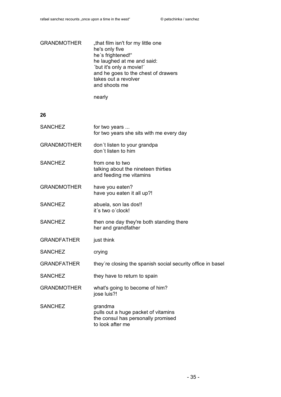| GRANDMOTHER | "that film isn't for my little one  |
|-------------|-------------------------------------|
|             | he's only five                      |
|             | he's frightened!"                   |
|             | he laughed at me and said:          |
|             | 'but it's only a movie!'            |
|             | and he goes to the chest of drawers |
|             | takes out a revolver                |
|             | and shoots me                       |
|             |                                     |

nearly

| <b>SANCHEZ</b>     | for two years<br>for two years she sits with me every day                                                |
|--------------------|----------------------------------------------------------------------------------------------------------|
| <b>GRANDMOTHER</b> | don't listen to your grandpa<br>don't listen to him                                                      |
| <b>SANCHEZ</b>     | from one to two<br>talking about the nineteen thirties<br>and feeding me vitamins                        |
| <b>GRANDMOTHER</b> | have you eaten?<br>have you eaten it all up?!                                                            |
| <b>SANCHEZ</b>     | abuela, son las dos!!<br>it's two o'clock!                                                               |
| <b>SANCHEZ</b>     | then one day they're both standing there<br>her and grandfather                                          |
| <b>GRANDFATHER</b> | just think                                                                                               |
| <b>SANCHEZ</b>     | crying                                                                                                   |
| <b>GRANDFATHER</b> | they're closing the spanish social security office in basel                                              |
| <b>SANCHEZ</b>     | they have to return to spain                                                                             |
| <b>GRANDMOTHER</b> | what's going to become of him?<br>jose luis?!                                                            |
| <b>SANCHEZ</b>     | grandma<br>pulls out a huge packet of vitamins<br>the consul has personally promised<br>to look after me |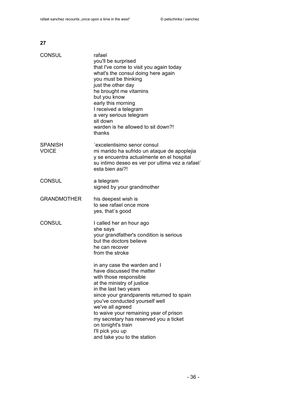| <b>CONSUL</b>                  | rafael<br>you'll be surprised<br>that I've come to visit you again today<br>what's the consul doing here again<br>you must be thinking<br>just the other day<br>he brought me vitamins<br>but you know<br>early this morning<br>I received a telegram<br>a very serious telegram<br>sit down<br>warden is he allowed to sit down?!<br>thanks                                                               |
|--------------------------------|------------------------------------------------------------------------------------------------------------------------------------------------------------------------------------------------------------------------------------------------------------------------------------------------------------------------------------------------------------------------------------------------------------|
| <b>SPANISH</b><br><b>VOICE</b> | 'excelentisimo senor consul<br>mi marido ha sufrido un ataque de apoplejia<br>y se encuentra actualmente en el hospital<br>su intimo deseo es ver por ultima vez a rafael'<br>esta bien asi?!                                                                                                                                                                                                              |
| <b>CONSUL</b>                  | a telegram<br>signed by your grandmother                                                                                                                                                                                                                                                                                                                                                                   |
| <b>GRANDMOTHER</b>             | his deepest wish is<br>to see rafael once more<br>yes, that's good                                                                                                                                                                                                                                                                                                                                         |
| <b>CONSUL</b>                  | I called her an hour ago<br>she says<br>your grandfather's condition is serious<br>but the doctors believe<br>he can recover<br>from the stroke                                                                                                                                                                                                                                                            |
|                                | in any case the warden and I<br>have discussed the matter<br>with those responsible<br>at the ministry of justice<br>in the last two years<br>since your grandparents returned to spain<br>you've conducted yourself well<br>we've all agreed<br>to waive your remaining year of prison<br>my secretary has reserved you a ticket<br>on tonight's train<br>I'll pick you up<br>and take you to the station |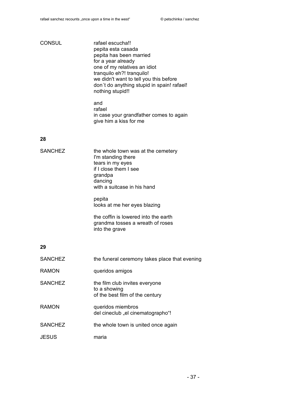| <b>CONSUL</b>  | rafael escucha!!<br>pepita esta casada<br>pepita has been married<br>for a year already<br>one of my relatives an idiot<br>tranquilo eh?! tranquilo!<br>we didn't want to tell you this before<br>don't do anything stupid in spain! rafael!<br>nothing stupid!!                                   |
|----------------|----------------------------------------------------------------------------------------------------------------------------------------------------------------------------------------------------------------------------------------------------------------------------------------------------|
|                | and<br>rafael<br>in case your grandfather comes to again<br>give him a kiss for me                                                                                                                                                                                                                 |
| 28             |                                                                                                                                                                                                                                                                                                    |
| <b>SANCHEZ</b> | the whole town was at the cemetery<br>I'm standing there<br>tears in my eyes<br>if I close them I see<br>grandpa<br>dancing<br>with a suitcase in his hand<br>pepita<br>looks at me her eyes blazing<br>the coffin is lowered into the earth<br>grandma tosses a wreath of roses<br>into the grave |
| 29             |                                                                                                                                                                                                                                                                                                    |
| <b>SANCHEZ</b> | the funeral ceremony takes place that evening                                                                                                                                                                                                                                                      |
| <b>RAMON</b>   | queridos amigos                                                                                                                                                                                                                                                                                    |
| <b>SANCHEZ</b> | the film club invites everyone<br>to a showing<br>of the best film of the century                                                                                                                                                                                                                  |
| <b>RAMON</b>   | queridos miembros<br>del cineclub "el cinematographo"!                                                                                                                                                                                                                                             |
| <b>SANCHEZ</b> | the whole town is united once again                                                                                                                                                                                                                                                                |
| <b>JESUS</b>   | maria                                                                                                                                                                                                                                                                                              |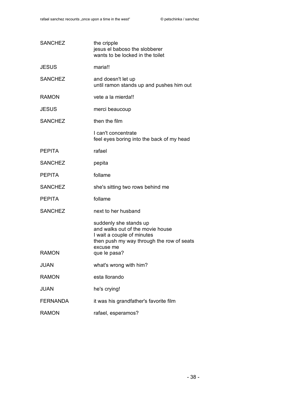| <b>SANCHEZ</b>  | the cripple<br>jesus el baboso the slobberer<br>wants to be locked in the toilet                                                                                   |
|-----------------|--------------------------------------------------------------------------------------------------------------------------------------------------------------------|
| <b>JESUS</b>    | maria!!                                                                                                                                                            |
| <b>SANCHEZ</b>  | and doesn't let up<br>until ramon stands up and pushes him out                                                                                                     |
| <b>RAMON</b>    | vete a la mierda!!                                                                                                                                                 |
| <b>JESUS</b>    | merci beaucoup                                                                                                                                                     |
| <b>SANCHEZ</b>  | then the film                                                                                                                                                      |
|                 | I can't concentrate<br>feel eyes boring into the back of my head                                                                                                   |
| <b>PEPITA</b>   | rafael                                                                                                                                                             |
| <b>SANCHEZ</b>  | pepita                                                                                                                                                             |
| <b>PEPITA</b>   | follame                                                                                                                                                            |
| <b>SANCHEZ</b>  | she's sitting two rows behind me                                                                                                                                   |
| <b>PEPITA</b>   | follame                                                                                                                                                            |
| <b>SANCHEZ</b>  | next to her husband                                                                                                                                                |
| <b>RAMON</b>    | suddenly she stands up<br>and walks out of the movie house<br>I wait a couple of minutes<br>then push my way through the row of seats<br>excuse me<br>que le pasa? |
| JUAN            | what's wrong with him?                                                                                                                                             |
| <b>RAMON</b>    | esta llorando                                                                                                                                                      |
| <b>JUAN</b>     | he's crying!                                                                                                                                                       |
| <b>FERNANDA</b> | it was his grandfather's favorite film                                                                                                                             |
| <b>RAMON</b>    | rafael, esperamos?                                                                                                                                                 |
|                 |                                                                                                                                                                    |